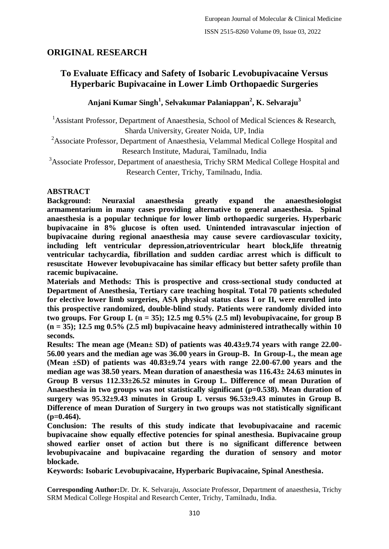# **ORIGINAL RESEARCH**

# **To Evaluate Efficacy and Safety of Isobaric Levobupivacaine Versus Hyperbaric Bupivacaine in Lower Limb Orthopaedic Surgeries**

## **Anjani Kumar Singh<sup>1</sup> , Selvakumar Palaniappan<sup>2</sup> , K. Selvaraju<sup>3</sup>**

<sup>1</sup> Assistant Professor, Department of Anaesthesia, School of Medical Sciences & Research, Sharda University, Greater Noida, UP, India

<sup>2</sup>Associate Professor, Department of Anaesthesia, Velammal Medical College Hospital and Research Institute, Madurai, Tamilnadu, India

<sup>3</sup>Associate Professor, Department of anaesthesia, Trichy SRM Medical College Hospital and Research Center, Trichy, Tamilnadu, India.

## **ABSTRACT**

**Background: Neuraxial anaesthesia greatly expand the anaesthesiologist armamentarium in many cases providing alternative to general anaesthesia. Spinal anaesthesia is a popular technique for lower limb orthopaedic surgeries. Hyperbaric bupivacaine in 8% glucose is often used. Unintended intravascular injection of bupivacaine during regional anaesthesia may cause severe cardiovascular toxicity, including left ventricular depression,atrioventricular heart block,life threatnig ventricular tachycardia, fibrillation and sudden cardiac arrest which is difficult to resuscitate However levobupivacaine has similar efficacy but better safety profile than racemic bupivacaine.**

**Materials and Methods: This is prospective and cross-sectional study conducted at Department of Anesthesia, Tertiary care teaching hospital. Total 70 patients scheduled for elective lower limb surgeries, ASA physical status class I or II, were enrolled into this prospective randomized, double-blind study. Patients were randomly divided into**  two groups. For Group L  $(n = 35)$ ; 12.5 mg  $0.5\%$  (2.5 ml) levobupivacaine, for group B **(n = 35); 12.5 mg 0.5% (2.5 ml) bupivacaine heavy administered intrathecally within 10 seconds.**

**Results: The mean age (Mean± SD) of patients was 40.43±9.74 years with range 22.00- 56.00 years and the median age was 36.00 years in Group-B. In Group-L, the mean age (Mean ±SD) of patients was 40.83±9.74 years with range 22.00-67.00 years and the median age was 38.50 years. Mean duration of anaesthesia was 116.43± 24.63 minutes in Group B versus 112.33±26.52 minutes in Group L. Difference of mean Duration of Anaesthesia in two groups was not statistically significant (p=0.538). Mean duration of surgery was 95.32±9.43 minutes in Group L versus 96.53±9.43 minutes in Group B. Difference of mean Duration of Surgery in two groups was not statistically significant (p=0.464).**

**Conclusion: The results of this study indicate that levobupivacaine and racemic bupivacaine show equally effective potencies for spinal anesthesia. Bupivacaine group showed earlier onset of action but there is no significant difference between levobupivacaine and bupivacaine regarding the duration of sensory and motor blockade.**

**Keywords: Isobaric Levobupivacaine, Hyperbaric Bupivacaine, Spinal Anesthesia.**

**Corresponding Author:**Dr. Dr. K. Selvaraju, Associate Professor, Department of anaesthesia, Trichy SRM Medical College Hospital and Research Center, Trichy, Tamilnadu, India.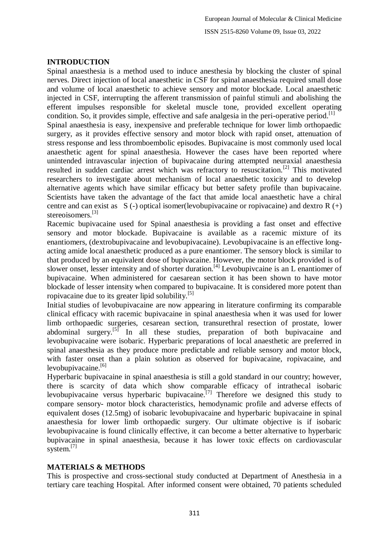#### **INTRODUCTION**

Spinal anaesthesia is a method used to induce anesthesia by blocking the cluster of spinal nerves. Direct injection of local anaesthetic in CSF for spinal anaesthesia required small dose and volume of local anaesthetic to achieve sensory and motor blockade. Local anaesthetic injected in CSF, interrupting the afferent transmission of painful stimuli and abolishing the efferent impulses responsible for skeletal muscle tone, provided excellent operating condition. So, it provides simple, effective and safe analgesia in the peri-operative period.<sup>[1]</sup> Spinal anaesthesia is easy, inexpensive and preferable technique for lower limb orthopaedic surgery, as it provides effective sensory and motor block with rapid onset, attenuation of stress response and less thromboembolic episodes. Bupivacaine is most commonly used local anaesthetic agent for spinal anaesthesia. However the cases have been reported where unintended intravascular injection of bupivacaine during attempted neuraxial anaesthesia resulted in sudden cardiac arrest which was refractory to resuscitation.[2] This motivated researchers to investigate about mechanism of local anaesthetic toxicity and to develop alternative agents which have similar efficacy but better safety profile than bupivacaine. Scientists have taken the advantage of the fact that amide local anaesthetic have a chiral centre and can exist as  $S(-)$  optical isomer(levobupivacaine or ropivacaine) and dextro R  $(+)$ stereoisomers.<sup>[3]</sup>

Racemic bupivacaine used for Spinal anaesthesia is providing a fast onset and effective sensory and motor blockade. Bupivacaine is available as a racemic mixture of its enantiomers, (dextrobupivacaine and levobupivacaine). Levobupivacaine is an effective longacting amide local anaesthetic produced as a pure enantiomer. The sensory block is similar to that produced by an equivalent dose of bupivacaine. However, the motor block provided is of slower onset, lesser intensity and of shorter duration.<sup>[4]</sup> Levobupivcaine is an L enantiomer of bupivacaine. When administered for caesarean section it has been shown to have motor blockade of lesser intensity when compared to bupivacaine. It is considered more potent than ropivacaine due to its greater lipid solubility.[5]

Initial studies of levobupivacaine are now appearing in literature confirming its comparable clinical efficacy with racemic bupivacaine in spinal anaesthesia when it was used for lower limb orthopaedic surgeries, cesarean section, transurethral resection of prostate, lower abdominal surgery.<sup>[5]</sup> In all these studies, preparation of both bupivacaine and levobupivacaine were isobaric. Hyperbaric preparations of local anaesthetic are preferred in spinal anaesthesia as they produce more predictable and reliable sensory and motor block, with faster onset than a plain solution as observed for bupivacaine, ropivacaine, and  $levobunivacaine.$ <sup>[6]</sup>

Hyperbaric bupivacaine in spinal anaesthesia is still a gold standard in our country; however, there is scarcity of data which show comparable efficacy of intrathecal isobaric levobupivacaine versus hyperbaric bupivacaine.<sup>[7]</sup> Therefore we designed this study to compare sensory- motor block characteristics, hemodynamic profile and adverse effects of equivalent doses (12.5mg) of isobaric levobupivacaine and hyperbaric bupivacaine in spinal anaesthesia for lower limb orthopaedic surgery. Our ultimate objective is if isobaric levobupivacaine is found clinically effective, it can become a better alternative to hyperbaric bupivacaine in spinal anaesthesia, because it has lower toxic effects on cardiovascular system.<sup>[7]</sup>

## **MATERIALS & METHODS**

This is prospective and cross-sectional study conducted at Department of Anesthesia in a tertiary care teaching Hospital. After informed consent were obtained, 70 patients scheduled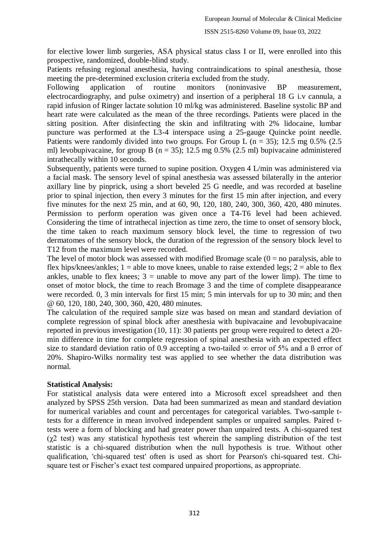for elective lower limb surgeries, ASA physical status class I or II, were enrolled into this prospective, randomized, double-blind study.

Patients refusing regional anesthesia, having contraindications to spinal anesthesia, those meeting the pre-determined exclusion criteria excluded from the study.

Following application of routine monitors (noninvasive BP measurement, electrocardiography, and pulse oximetry) and insertion of a peripheral 18 G i.v cannula, a rapid infusion of Ringer lactate solution 10 ml/kg was administered. Baseline systolic BP and heart rate were calculated as the mean of the three recordings. Patients were placed in the sitting position. After disinfecting the skin and infiltrating with 2% lidocaine, lumbar puncture was performed at the L3-4 interspace using a 25-gauge Quincke point needle. Patients were randomly divided into two groups. For Group L ( $n = 35$ ); 12.5 mg 0.5% (2.5) ml) levobupivacaine, for group B ( $n = 35$ ); 12.5 mg 0.5% (2.5 ml) bupivacaine administered intrathecally within 10 seconds.

Subsequently, patients were turned to supine position. Oxygen 4 L/min was administered via a facial mask. The sensory level of spinal anesthesia was assessed bilaterally in the anterior axillary line by pinprick, using a short beveled 25 G needle, and was recorded at baseline prior to spinal injection, then every 3 minutes for the first 15 min after injection, and every five minutes for the next 25 min, and at 60, 90, 120, 180, 240, 300, 360, 420, 480 minutes. Permission to perform operation was given once a T4-T6 level had been achieved. Considering the time of intrathecal injection as time zero, the time to onset of sensory block, the time taken to reach maximum sensory block level, the time to regression of two dermatomes of the sensory block, the duration of the regression of the sensory block level to T12 from the maximum level were recorded.

The level of motor block was assessed with modified Bromage scale  $(0 = no \text{ paralysis}, \text{able to})$ flex hips/knees/ankles;  $1 =$ able to move knees, unable to raise extended legs;  $2 =$ able to flex ankles, unable to flex knees;  $3 =$  unable to move any part of the lower limp). The time to onset of motor block, the time to reach Bromage 3 and the time of complete disappearance were recorded. 0, 3 min intervals for first 15 min; 5 min intervals for up to 30 min; and then @ 60, 120, 180, 240, 300, 360, 420, 480 minutes.

The calculation of the required sample size was based on mean and standard deviation of complete regression of spinal block after anesthesia with bupivacaine and levobupivacaine reported in previous investigation (10, 11): 30 patients per group were required to detect a 20 min difference in time for complete regression of spinal anesthesia with an expected effect size to standard deviation ratio of 0.9 accepting a two-tailed  $\infty$  error of 5% and a ß error of 20%. Shapiro-Wilks normality test was applied to see whether the data distribution was normal.

#### **Statistical Analysis:**

For statistical analysis data were entered into a Microsoft excel spreadsheet and then analyzed by SPSS 25th version. Data had been summarized as mean and standard deviation for numerical variables and count and percentages for categorical variables. Two-sample ttests for a difference in mean involved independent samples or unpaired samples. Paired ttests were a form of blocking and had greater power than unpaired tests. A chi-squared test  $(γ2 test)$  was any statistical hypothesis test wherein the sampling distribution of the test statistic is a chi-squared distribution when the null hypothesis is true. Without other qualification, 'chi-squared test' often is used as short for Pearson's chi-squared test. Chisquare test or Fischer's exact test compared unpaired proportions, as appropriate.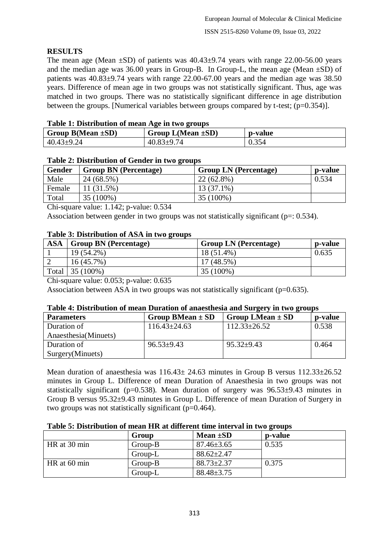## **RESULTS**

The mean age (Mean  $\pm$ SD) of patients was 40.43 $\pm$ 9.74 years with range 22.00-56.00 years and the median age was  $36.00$  years in Group-B. In Group-L, the mean age (Mean  $\pm$ SD) of patients was  $40.83\pm9.74$  years with range 22.00-67.00 years and the median age was 38.50 years. Difference of mean age in two groups was not statistically significant. Thus, age was matched in two groups. There was no statistically significant difference in age distribution between the groups. [Numerical variables between groups compared by t-test;  $(p=0.354)$ ].

## **Table 1: Distribution of mean Age in two groups**

| Group $B(Mean \pm SD)$ | Group $L(Mean \pm SD)$ | p-value |  |  |
|------------------------|------------------------|---------|--|--|
| $40.43 \pm 9.24$       | $40.83 \pm 9.74$       | 0.354   |  |  |

## **Table 2: Distribution of Gender in two groups**

| <b>Gender</b> | <b>Group BN</b> (Percentage) | <b>Group LN</b> (Percentage) | p-value |
|---------------|------------------------------|------------------------------|---------|
| Male          | 24 (68.5%)                   | $22(62.8\%)$                 | 0.534   |
| Female        | 11 (31.5%)                   | $13(37.1\%)$                 |         |
| Total         | 35 (100%)                    | 35 (100%)                    |         |

Chi-square value: 1.142; p-value: 0.534

Association between gender in two groups was not statistically significant ( $p=$ : 0.534).

## **Table 3: Distribution of ASA in two groups**

| <b>ASA</b> | <b>Group BN</b> (Percentage) | <b>Group LN</b> (Percentage) | p-value |
|------------|------------------------------|------------------------------|---------|
|            | 19 (54.2%)                   | 18 (51.4%)                   | 0.635   |
|            | $16(45.7\%)$                 | $17(48.5\%)$                 |         |
| Total      | $35(100\%)$                  | 35 (100%)                    |         |

Chi-square value: 0.053; p-value: 0.635

Association between ASA in two groups was not statistically significant ( $p=0.635$ ).

### **Table 4: Distribution of mean Duration of anaesthesia and Surgery in two groups**

| <b>Parameters</b>    | Group BMean $\pm$ SD | Group LMean $\pm$ SD | p-value |
|----------------------|----------------------|----------------------|---------|
| Duration of          | $116.43 \pm 24.63$   | $112.33 \pm 26.52$   | 0.538   |
| Anaesthesia(Minuets) |                      |                      |         |
| Duration of          | $96.53 \pm 9.43$     | $95.32 \pm 9.43$     | 0.464   |
| Surgery(Minuets)     |                      |                      |         |

Mean duration of anaesthesia was  $116.43 \pm 24.63$  minutes in Group B versus  $112.33 \pm 26.52$ minutes in Group L. Difference of mean Duration of Anaesthesia in two groups was not statistically significant ( $p=0.538$ ). Mean duration of surgery was  $96.53\pm9.43$  minutes in Group B versus 95.32±9.43 minutes in Group L. Difference of mean Duration of Surgery in two groups was not statistically significant (p=0.464).

### **Table 5: Distribution of mean HR at different time interval in two groups**

|                        | Group     | Mean $\pm SD$    | p-value |
|------------------------|-----------|------------------|---------|
| HR at 30 min           | $Group-B$ | $87.46 \pm 3.65$ | 0.535   |
|                        | Group-L   | $88.62 \pm 2.47$ |         |
| HR at $60 \text{ min}$ | $Group-B$ | $88.73 \pm 2.37$ | 0.375   |
|                        | Group-L   | $88.48 \pm 3.75$ |         |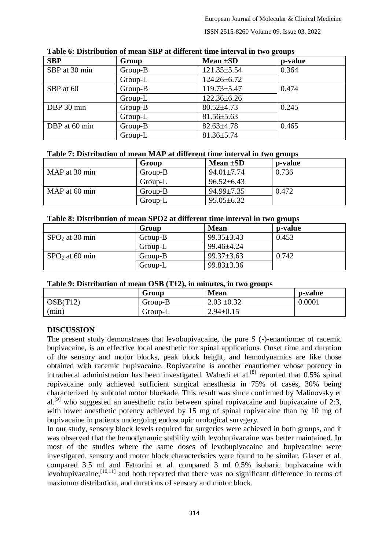ISSN 2515-8260 Volume 09, Issue 03, 2022

| <b>SBP</b>    | Group   | Mean $\pm SD$     | p-value |
|---------------|---------|-------------------|---------|
| SBP at 30 min | Group-B | $121.35 \pm 5.54$ | 0.364   |
|               | Group-L | $124.26 \pm 6.72$ |         |
| SBP at 60     | Group-B | $119.73 \pm 5.47$ | 0.474   |
|               | Group-L | $122.36 \pm 6.26$ |         |
| DBP 30 min    | Group-B | $80.52 \pm 4.73$  | 0.245   |
|               | Group-L | $81.56 \pm 5.63$  |         |
| DBP at 60 min | Group-B | $82.63 \pm 4.78$  | 0.465   |
|               | Group-L | $81.36 \pm 5.74$  |         |

**Table 6: Distribution of mean SBP at different time interval in two groups**

#### **Table 7: Distribution of mean MAP at different time interval in two groups**

|               | Group     | Mean $\pm SD$    | p-value |
|---------------|-----------|------------------|---------|
| MAP at 30 min | $Group-B$ | $94.01 \pm 7.74$ | 0.736   |
|               | Group-L   | $96.52 \pm 6.43$ |         |
| MAP at 60 min | $Group-B$ | $94.99 \pm 7.35$ | 0.472   |
|               | Group-L   | $95.05 \pm 6.32$ |         |

#### **Table 8: Distribution of mean SPO2 at different time interval in two groups**

|                  | Group     | <b>Mean</b>      | p-value |
|------------------|-----------|------------------|---------|
| $SPO2$ at 30 min | $Group-B$ | $99.35 \pm 3.43$ | 0.453   |
|                  | Group-L   | $99.46 \pm 4.24$ |         |
| $SPO2$ at 60 min | Group-B   | $99.37 \pm 3.63$ | 0.742   |
|                  | Group-L   | $99.83 \pm 3.36$ |         |

#### **Table 9: Distribution of mean OSB (T12), in minutes, in two groups**

|          | Group   | <b>Mean</b>     | p-value |
|----------|---------|-----------------|---------|
| OSB(T12) | Group-B | $2.03 \pm 0.32$ | 0.0001  |
| (min)    | Group-L | $2.94 \pm 0.15$ |         |

### **DISCUSSION**

The present study demonstrates that levobupivacaine, the pure S (-)-enantiomer of racemic bupivacaine, is an effective local anesthetic for spinal applications. Onset time and duration of the sensory and motor blocks, peak block height, and hemodynamics are like those obtained with racemic bupivacaine. Ropivacaine is another enantiomer whose potency in intrathecal administration has been investigated. Wahedi et al.<sup>[8]</sup> reported that 0.5% spinal ropivacaine only achieved sufficient surgical anesthesia in 75% of cases, 30% being characterized by subtotal motor blockade. This result was since confirmed by Malinovsky et al.<sup>[9]</sup> who suggested an anesthetic ratio between spinal ropivacaine and bupivacaine of 2:3, with lower anesthetic potency achieved by 15 mg of spinal ropivacaine than by 10 mg of bupivacaine in patients undergoing endoscopic urological survgery.

In our study, sensory block levels required for surgeries were achieved in both groups, and it was observed that the hemodynamic stability with levobupivacaine was better maintained. In most of the studies where the same doses of levobupivacaine and bupivacaine were investigated, sensory and motor block characteristics were found to be similar. Glaser et al. compared 3.5 ml and Fattorini et al. compared 3 ml 0.5% isobaric bupivacaine with levobupivacaine, $\frac{1}{10,111}$  and both reported that there was no significant difference in terms of maximum distribution, and durations of sensory and motor block.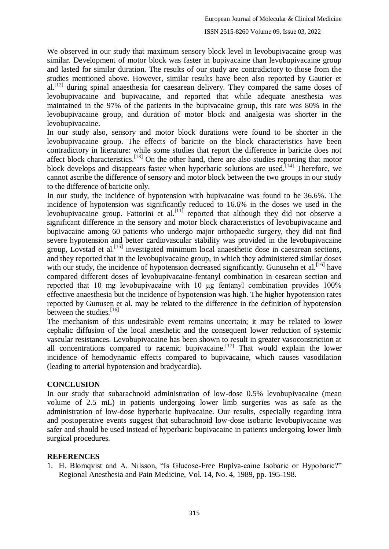We observed in our study that maximum sensory block level in levobupivacaine group was similar. Development of motor block was faster in bupivacaine than levobupivacaine group and lasted for similar duration. The results of our study are contradictory to those from the studies mentioned above. However, similar results have been also reported by Gautier et  $al.<sup>[12]</sup>$  during spinal anaesthesia for caesarean delivery. They compared the same doses of levobupivacaine and bupivacaine, and reported that while adequate anesthesia was maintained in the 97% of the patients in the bupivacaine group, this rate was 80% in the levobupivacaine group, and duration of motor block and analgesia was shorter in the levobupivacaine.

In our study also, sensory and motor block durations were found to be shorter in the levobupivacaine group. The effects of baricite on the block characteristics have been contradictory in literature: while some studies that report the difference in baricite does not affect block characteristics.<sup>[13]</sup> On the other hand, there are also studies reporting that motor block develops and disappears faster when hyperbaric solutions are used.<sup>[14]</sup> Therefore, we cannot ascribe the difference of sensory and motor block between the two groups in our study to the difference of baricite only.

In our study, the incidence of hypotension with bupivacaine was found to be 36.6%. The incidence of hypotension was significantly reduced to 16.6% in the doses we used in the levobupivacaine group. Fattorini et al.[11] reported that although they did not observe a significant difference in the sensory and motor block characteristics of levobupivacaine and bupivacaine among 60 patients who undergo major orthopaedic surgery, they did not find severe hypotension and better cardiovascular stability was provided in the levobupivacaine group, Lovstad et al.<sup>[15]</sup> investigated minimum local anaesthetic dose in caesarean sections, and they reported that in the levobupivacaine group, in which they administered similar doses with our study, the incidence of hypotension decreased significantly. Gunusehn et al.  $[16]$  have compared different doses of levobupivacaine-fentanyl combination in cesarean section and reported that 10 mg levobupivacaine with 10 μg fentanyl combination provides 100% effective anaesthesia but the incidence of hypotension was high. The higher hypotension rates reported by Gunusen et al. may be related to the difference in the definition of hypotension between the studies.<sup>[16]</sup>

The mechanism of this undesirable event remains uncertain; it may be related to lower cephalic diffusion of the local anesthetic and the consequent lower reduction of systemic vascular resistances. Levobupivacaine has been shown to result in greater vasoconstriction at all concentrations compared to racemic bupivacaine.<sup>[17]</sup> That would explain the lower incidence of hemodynamic effects compared to bupivacaine, which causes vasodilation (leading to arterial hypotension and bradycardia).

### **CONCLUSION**

In our study that subarachnoid administration of low-dose 0.5% levobupivacaine (mean volume of 2.5 mL) in patients undergoing lower limb surgeries was as safe as the administration of low-dose hyperbaric bupivacaine. Our results, especially regarding intra and postoperative events suggest that subarachnoid low-dose isobaric levobupivacaine was safer and should be used instead of hyperbaric bupivacaine in patients undergoing lower limb surgical procedures.

### **REFERENCES**

1. H. Blomqvist and A. Nilsson, "Is Glucose-Free Bupiva-caine Isobaric or Hypobaric?" Regional Anesthesia and Pain Medicine, Vol. 14, No. 4, 1989, pp. 195-198.